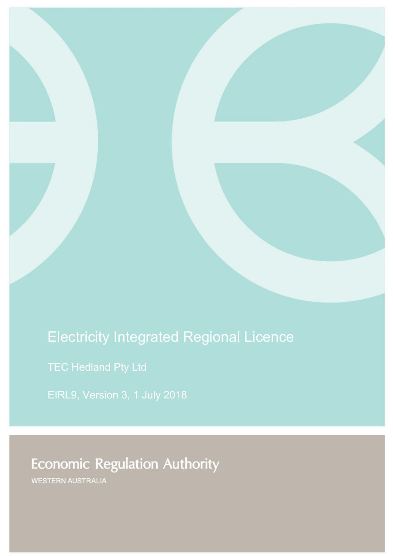# Electricity Integrated Regional Licence

TEC Hedland Pty Ltd

EIRL9, Version 3, 1 July 2018

**Economic Regulation Authority** 

**WESTERN AUSTRALIA**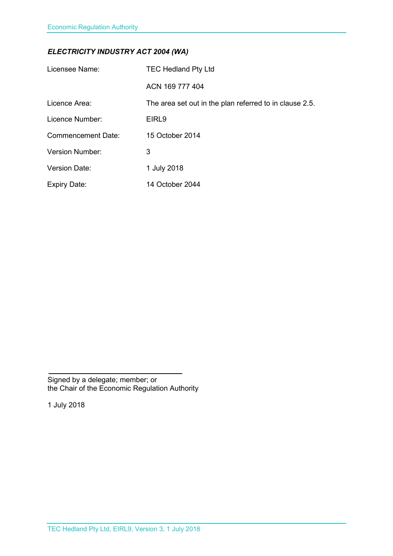### *ELECTRICITY INDUSTRY ACT 2004 (WA)*

| Licensee Name:            | <b>TEC Hedland Pty Ltd</b>                              |
|---------------------------|---------------------------------------------------------|
|                           | ACN 169 777 404                                         |
| Licence Area:             | The area set out in the plan referred to in clause 2.5. |
| Licence Number:           | EIRL <sub>9</sub>                                       |
| <b>Commencement Date:</b> | 15 October 2014                                         |
| <b>Version Number:</b>    | 3                                                       |
| <b>Version Date:</b>      | 1 July 2018                                             |
| <b>Expiry Date:</b>       | 14 October 2044                                         |

Signed by a delegate; member; or the Chair of the Economic Regulation Authority

1 July 2018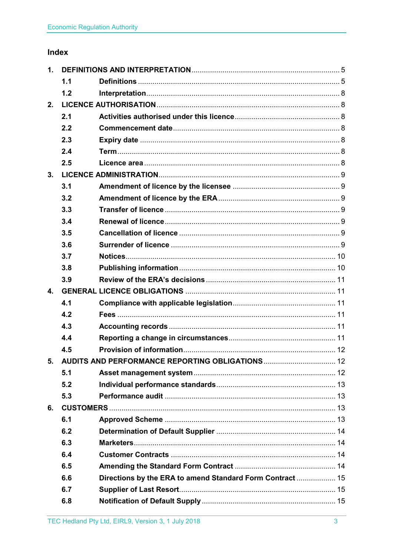## Index

| 1.                                                  |     |                                                           |  |
|-----------------------------------------------------|-----|-----------------------------------------------------------|--|
|                                                     | 1.1 |                                                           |  |
|                                                     | 1.2 |                                                           |  |
| 2.                                                  |     |                                                           |  |
|                                                     | 2.1 |                                                           |  |
|                                                     | 2.2 |                                                           |  |
|                                                     | 2.3 |                                                           |  |
|                                                     | 2.4 |                                                           |  |
|                                                     | 2.5 |                                                           |  |
| 3.                                                  |     |                                                           |  |
|                                                     | 3.1 |                                                           |  |
|                                                     | 3.2 |                                                           |  |
|                                                     | 3.3 |                                                           |  |
|                                                     | 3.4 |                                                           |  |
|                                                     | 3.5 |                                                           |  |
|                                                     | 3.6 |                                                           |  |
|                                                     | 3.7 |                                                           |  |
|                                                     | 3.8 |                                                           |  |
|                                                     | 3.9 |                                                           |  |
| $\mathbf{4}$ .                                      |     |                                                           |  |
|                                                     | 4.1 |                                                           |  |
|                                                     | 4.2 |                                                           |  |
|                                                     | 4.3 |                                                           |  |
|                                                     | 4.4 |                                                           |  |
|                                                     | 4.5 |                                                           |  |
| 5. AUDITS AND PERFORMANCE REPORTING OBLIGATIONS  12 |     |                                                           |  |
|                                                     | 5.1 |                                                           |  |
|                                                     | 5.2 |                                                           |  |
|                                                     | 5.3 |                                                           |  |
| 6.                                                  |     |                                                           |  |
|                                                     | 6.1 |                                                           |  |
|                                                     | 6.2 |                                                           |  |
|                                                     | 6.3 |                                                           |  |
|                                                     | 6.4 |                                                           |  |
|                                                     | 6.5 |                                                           |  |
|                                                     | 6.6 | Directions by the ERA to amend Standard Form Contract  15 |  |
|                                                     | 6.7 |                                                           |  |
|                                                     | 6.8 |                                                           |  |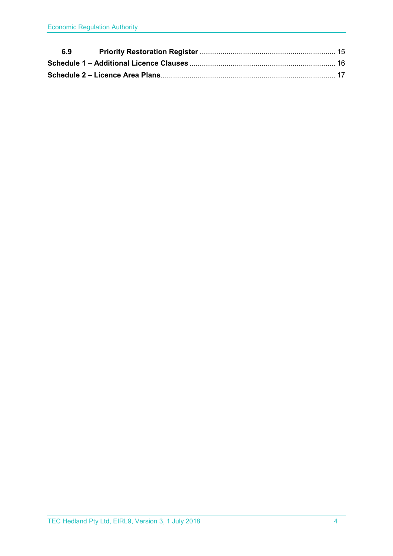| 6.9 |  |
|-----|--|
|     |  |
|     |  |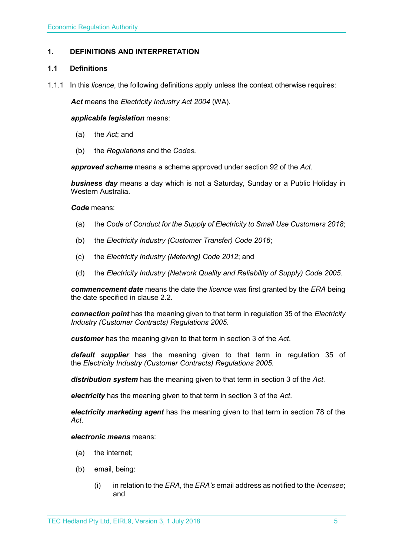#### <span id="page-4-0"></span>**1. DEFINITIONS AND INTERPRETATION**

#### <span id="page-4-1"></span>**1.1 Definitions**

1.1.1 In this *licence*, the following definitions apply unless the context otherwise requires:

*Act* means the *Electricity Industry Act 2004* (WA).

#### *applicable legislation* means:

- (a) the *Act*; and
- (b) the *Regulations* and the *Codes*.

*approved scheme* means a scheme approved under section 92 of the *Act*.

*business day* means a day which is not a Saturday, Sunday or a Public Holiday in Western Australia.

#### *Code* means:

- (a) the *Code of Conduct for the Supply of Electricity to Small Use Customers 2018*;
- (b) the *Electricity Industry (Customer Transfer) Code 2016*;
- (c) the *Electricity Industry (Metering) Code 2012*; and
- (d) the *Electricity Industry (Network Quality and Reliability of Supply) Code 2005*.

*commencement date* means the date the *licence* was first granted by the *ERA* being the date specified in clause 2.2.

*connection point* has the meaning given to that term in regulation 35 of the *[Electricity](http://www.slp.wa.gov.au/legislation/statutes.nsf/main_mrtitle_1345_homepage.html)  [Industry \(Customer Contracts\) Regulations 2005](http://www.slp.wa.gov.au/legislation/statutes.nsf/main_mrtitle_1345_homepage.html)*.

*customer* has the meaning given to that term in section 3 of the *Act*.

*default supplier* has the meaning given to that term in regulation 35 of the *Electricity [Industry \(Customer Contracts\) Regulations 2005.](http://www.slp.wa.gov.au/legislation/statutes.nsf/main_mrtitle_1345_homepage.html)*

*distribution system* has the meaning given to that term in section 3 of the *Act*.

*electricity* has the meaning given to that term in section 3 of the *Act*.

*electricity marketing agent* has the meaning given to that term in section 78 of the *Act*.

#### *electronic means* means:

- (a) the internet;
- (b) email, being:
	- (i) in relation to the *ERA*, the *ERA's* email address as notified to the *licensee*; and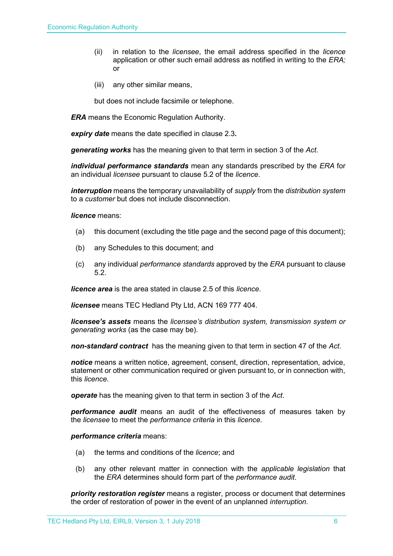- (ii) in relation to the *licensee*, the email address specified in the *licence* application or other such email address as notified in writing to the *ERA;* or
- (iii) any other similar means,

but does not include facsimile or telephone.

*ERA* means the Economic Regulation Authority.

*expiry date* means the date specified in clause 2.3*.*

*generating works* has the meaning given to that term in section 3 of the *Act*.

*individual performance standards* mean any standards prescribed by the *ERA* for an individual *licensee* pursuant to clause 5.2 of the *licence*.

*interruption* means the temporary unavailability of *supply* from the *distribution system* to a *customer* but does not include disconnection.

*licence* means:

- (a) this document (excluding the title page and the second page of this document);
- (b) any Schedules to this document; and
- (c) any individual *performance standards* approved by the *ERA* pursuant to clause 5.2.

*licence area* is the area stated in clause 2.5 of this *licence*.

*licensee* means TEC Hedland Pty Ltd, ACN 169 777 404.

*licensee's assets* means the *licensee's distribution system, transmission system or generating works* (as the case may be).

*non-standard contract* has the meaning given to that term in section 47 of the *Act*.

*notice* means a written notice, agreement, consent, direction, representation, advice, statement or other communication required or given pursuant to, or in connection with, this *licence*.

*operate* has the meaning given to that term in section 3 of the *Act*.

*performance audit* means an audit of the effectiveness of measures taken by the *licensee* to meet the *performance criteria* in this *licence*.

*performance criteria* means:

- (a) the terms and conditions of the *licence*; and
- (b) any other relevant matter in connection with the *applicable legislation* that the *ERA* determines should form part of the *performance audit*.

*priority restoration register* means a register, process or document that determines the order of restoration of power in the event of an unplanned *interruption*.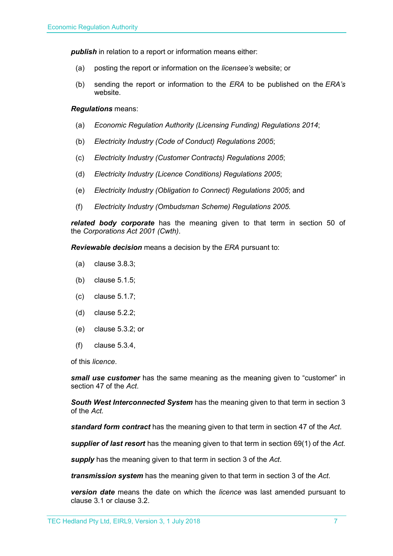**publish** in relation to a report or information means either:

- (a) posting the report or information on the *licensee's* website; or
- (b) sending the report or information to the *ERA* to be published on the *ERA's* website.

#### *Regulations* means:

- (a) *Economic Regulation Authority (Licensing Funding) Regulations 2014*;
- (b) *Electricity Industry (Code of Conduct) Regulations 2005*;
- (c) *Electricity Industry (Customer Contracts) Regulations 2005*;
- (d) *Electricity Industry (Licence Conditions) Regulations 2005*;
- (e) *Electricity Industry (Obligation to Connect) Regulations 2005*; and
- (f) *Electricity Industry (Ombudsman Scheme) Regulations 2005.*

*related body corporate* has the meaning given to that term in section 50 of the *Corporations Act 2001 (Cwth)*.

*Reviewable decision* means a decision by the *ERA* pursuant to:

- (a) clause 3.8.3;
- (b) clause 5.1.5;
- (c) clause 5.1.7;
- (d) clause 5.2.2;
- (e) clause 5.3.2; or
- (f) clause 5.3.4,

of this *licence*.

*small use customer* has the same meaning as the meaning given to "customer" in section 47 of the *Act*.

*South West Interconnected System* has the meaning given to that term in section 3 of the *Act.* 

*standard form contract* has the meaning given to that term in section 47 of the *Act*.

*supplier of last resort* has the meaning given to that term in section 69(1) of the *Act*.

*supply* has the meaning given to that term in section 3 of the *Act*.

*transmission system* has the meaning given to that term in section 3 of the *Act*.

*version date* means the date on which the *licence* was last amended pursuant to clause 3.1 or clause 3.2.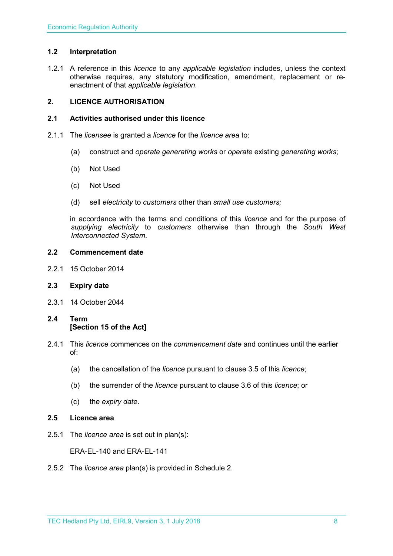#### <span id="page-7-0"></span>**1.2 Interpretation**

1.2.1 A reference in this *licence* to any *applicable legislation* includes, unless the context otherwise requires, any statutory modification, amendment, replacement or reenactment of that *applicable legislation*.

#### <span id="page-7-1"></span>**2. LICENCE AUTHORISATION**

#### <span id="page-7-2"></span>**2.1 Activities authorised under this licence**

- 2.1.1 The *licensee* is granted a *licence* for the *licence area* to:
	- (a) construct and *operate generating works* or *operate* existing *generating works*;
	- (b) Not Used
	- (c) Not Used
	- (d) sell *electricity* to *customers* other than *small use customers;*

in accordance with the terms and conditions of this *licence* and for the purpose of *supplying electricity* to *customers* otherwise than through the *South West Interconnected System*.

#### <span id="page-7-3"></span>**2.2 Commencement date**

2.2.1 15 October 2014

#### <span id="page-7-4"></span>**2.3 Expiry date**

2.3.1 14 October 2044

#### <span id="page-7-5"></span>**2.4 Term [Section 15 of the Act]**

- 2.4.1 This *licence* commences on the *commencement date* and continues until the earlier of:
	- (a) the cancellation of the *licence* pursuant to clause 3.5 of this *licence*;
	- (b) the surrender of the *licence* pursuant to clause 3.6 of this *licence*; or
	- (c) the *expiry date*.

#### <span id="page-7-6"></span>**2.5 Licence area**

2.5.1 The *licence area* is set out in plan(s):

ERA-EL-140 and ERA-EL-141

2.5.2 The *licence area* plan(s) is provided in Schedule 2.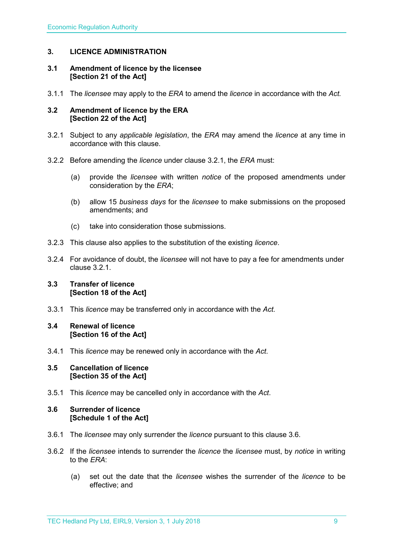#### <span id="page-8-0"></span>**3. LICENCE ADMINISTRATION**

#### <span id="page-8-1"></span>**3.1 Amendment of licence by the licensee [Section 21 of the Act]**

3.1.1 The *licensee* may apply to the *ERA* to amend the *licence* in accordance with the *Act.*

#### <span id="page-8-2"></span>**3.2 Amendment of licence by the ERA [Section 22 of the Act]**

- 3.2.1 Subject to any *applicable legislation*, the *ERA* may amend the *licence* at any time in accordance with this clause.
- 3.2.2 Before amending the *licence* under clause 3.2.1, the *ERA* must:
	- (a) provide the *licensee* with written *notice* of the proposed amendments under consideration by the *ERA*;
	- (b) allow 15 *business days* for the *licensee* to make submissions on the proposed amendments; and
	- (c) take into consideration those submissions.
- 3.2.3 This clause also applies to the substitution of the existing *licence*.
- 3.2.4 For avoidance of doubt, the *licensee* will not have to pay a fee for amendments under clause 3.2.1.

#### <span id="page-8-3"></span>**3.3 Transfer of licence [Section 18 of the Act]**

3.3.1 This *licence* may be transferred only in accordance with the *Act.*

#### <span id="page-8-4"></span>**3.4 Renewal of licence [Section 16 of the Act]**

3.4.1 This *licence* may be renewed only in accordance with the *Act*.

#### <span id="page-8-5"></span>**3.5 Cancellation of licence [Section 35 of the Act]**

3.5.1 This *licence* may be cancelled only in accordance with the *Act*.

#### <span id="page-8-6"></span>**3.6 Surrender of licence [Schedule 1 of the Act]**

- 3.6.1 The *licensee* may only surrender the *licence* pursuant to this clause 3.6.
- 3.6.2 If the *licensee* intends to surrender the *licence* the *licensee* must, by *notice* in writing to the *ERA*:
	- (a) set out the date that the *licensee* wishes the surrender of the *licence* to be effective; and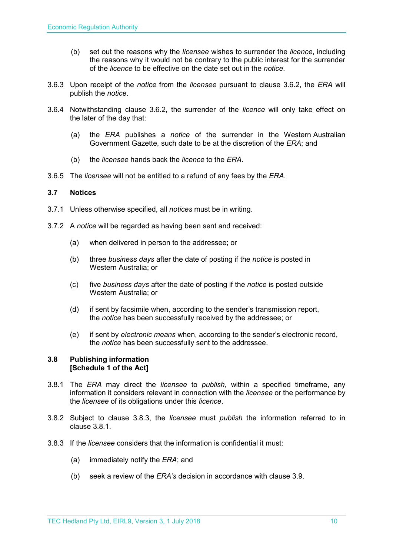- (b) set out the reasons why the *licensee* wishes to surrender the *licence*, including the reasons why it would not be contrary to the public interest for the surrender of the *licence* to be effective on the date set out in the *notice*.
- 3.6.3 Upon receipt of the *notice* from the *licensee* pursuant to clause 3.6.2, the *ERA* will publish the *notice*.
- 3.6.4 Notwithstanding clause 3.6.2, the surrender of the *licence* will only take effect on the later of the day that:
	- (a) the *ERA* publishes a *notice* of the surrender in the Western Australian Government Gazette, such date to be at the discretion of the *ERA*; and
	- (b) the *licensee* hands back the *licence* to the *ERA*.
- 3.6.5 The *licensee* will not be entitled to a refund of any fees by the *ERA*.

#### <span id="page-9-0"></span>**3.7 Notices**

- 3.7.1 Unless otherwise specified, all *notices* must be in writing.
- 3.7.2 A *notice* will be regarded as having been sent and received:
	- (a) when delivered in person to the addressee; or
	- (b) three *business days* after the date of posting if the *notice* is posted in Western Australia; or
	- (c) five *business days* after the date of posting if the *notice* is posted outside Western Australia; or
	- (d) if sent by facsimile when, according to the sender's transmission report, the *notice* has been successfully received by the addressee; or
	- (e) if sent by *electronic means* when, according to the sender's electronic record, the *notice* has been successfully sent to the addressee.

#### <span id="page-9-1"></span>**3.8 Publishing information [Schedule 1 of the Act]**

- 3.8.1 The *ERA* may direct the *licensee* to *publish*, within a specified timeframe, any information it considers relevant in connection with the *licensee* or the performance by the *licensee* of its obligations under this *licence*.
- 3.8.2 Subject to clause 3.8.3, the *licensee* must *publish* the information referred to in clause 3.8.1.
- 3.8.3 If the *licensee* considers that the information is confidential it must:
	- (a) immediately notify the *ERA*; and
	- (b) seek a review of the *ERA's* decision in accordance with clause 3.9.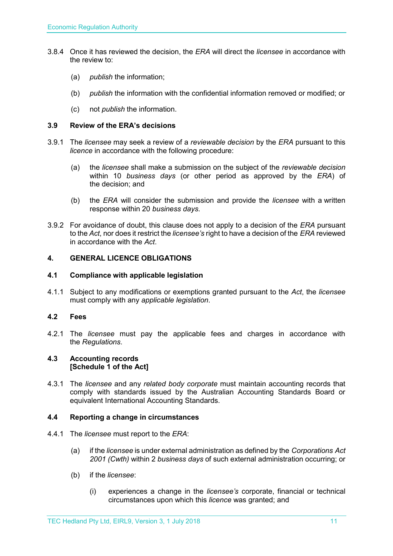- 3.8.4 Once it has reviewed the decision, the *ERA* will direct the *licensee* in accordance with the review to:
	- (a) *publish* the information;
	- (b) *publish* the information with the confidential information removed or modified; or
	- (c) not *publish* the information.

#### <span id="page-10-0"></span>**3.9 Review of the ERA's decisions**

- 3.9.1 The *licensee* may seek a review of a *reviewable decision* by the *ERA* pursuant to this *licence* in accordance with the following procedure:
	- (a) the *licensee* shall make a submission on the subject of the *reviewable decision* within 10 *business days* (or other period as approved by the *ERA*) of the decision; and
	- (b) the *ERA* will consider the submission and provide the *licensee* with a written response within 20 *business days*.
- 3.9.2 For avoidance of doubt, this clause does not apply to a decision of the *ERA* pursuant to the *Act*, nor does it restrict the *licensee's* right to have a decision of the *ERA* reviewed in accordance with the *Act*.

#### <span id="page-10-1"></span>**4. GENERAL LICENCE OBLIGATIONS**

#### <span id="page-10-2"></span>**4.1 Compliance with applicable legislation**

4.1.1 Subject to any modifications or exemptions granted pursuant to the *Act*, the *licensee* must comply with any *applicable legislation*.

#### <span id="page-10-3"></span>**4.2 Fees**

4.2.1 The *licensee* must pay the applicable fees and charges in accordance with the *Regulations*.

#### <span id="page-10-4"></span>**4.3 Accounting records [Schedule 1 of the Act]**

4.3.1 The *licensee* and any *related body corporate* must maintain accounting records that comply with standards issued by the Australian Accounting Standards Board or equivalent International Accounting Standards.

#### <span id="page-10-5"></span>**4.4 Reporting a change in circumstances**

- 4.4.1 The *licensee* must report to the *ERA*:
	- (a) if the *licensee* is under external administration as defined by the *Corporations Act 2001 (Cwth)* within 2 *business days* of such external administration occurring; or
	- (b) if the *licensee*:
		- (i) experiences a change in the *licensee's* corporate, financial or technical circumstances upon which this *licence* was granted; and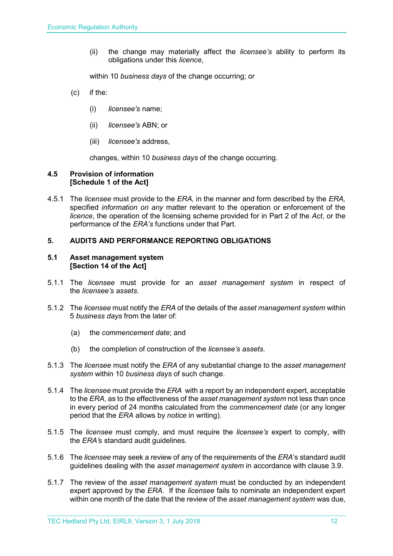(ii) the change may materially affect the *licensee's* ability to perform its obligations under this *licence*,

within 10 *business days* of the change occurring; or

- (c) if the:
	- (i) *licensee's* name;
	- (ii) *licensee's* ABN; or
	- (iii) *licensee's* address,

changes, within 10 *business days* of the change occurring.

#### <span id="page-11-0"></span>**4.5 Provision of information [Schedule 1 of the Act]**

4.5.1 The *licensee* must provide to the *ERA,* in the manner and form described by the *ERA,*  specified *information on any* matter relevant to the operation or enforcement of the *licence*, the operation of the licensing scheme provided for in Part 2 of the *Act*, or the performance of the *ERA's* functions under that Part.

#### <span id="page-11-1"></span>**5. AUDITS AND PERFORMANCE REPORTING OBLIGATIONS**

#### <span id="page-11-2"></span>**5.1 Asset management system [Section 14 of the Act]**

- 5.1.1 The *licensee* must provide for an *asset management system* in respect of the *licensee's assets.*
- 5.1.2 The *licensee* must notify the *ERA* of the details of the *asset management system* within 5 *business days* from the later of:
	- (a) the *commencement date*; and
	- (b) the completion of construction of the *licensee's assets*.
- 5.1.3 The *licensee* must notify the *ERA* of any substantial change to the *asset management system* within 10 *business days* of such change.
- 5.1.4 The *licensee* must provide the *ERA* with a report by an independent expert, acceptable to the *ERA*, as to the effectiveness of the *asset management system* not less than once in every period of 24 months calculated from the *commencement date* (or any longer period that the *ERA* allows by *notice* in writing).
- 5.1.5 The *licensee* must comply, and must require the *licensee's* expert to comply, with the *ERA'*s standard audit guidelines.
- 5.1.6 The *licensee* may seek a review of any of the requirements of the *ERA*'s standard audit guidelines dealing with the *asset management system* in accordance with clause 3.9.
- 5.1.7 The review of the *asset management system* must be conducted by an independent expert approved by the *ERA*. If the *licensee* fails to nominate an independent expert within one month of the date that the review of the *asset management system* was due,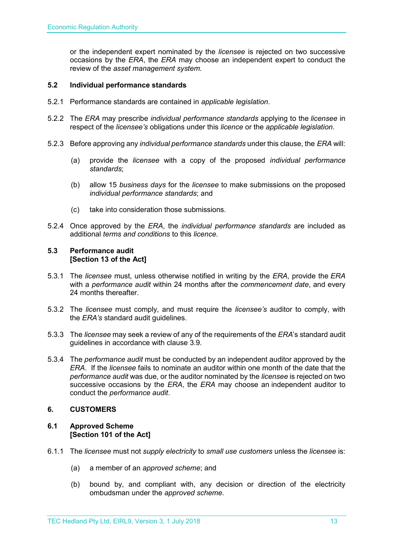or the independent expert nominated by the *licensee* is rejected on two successive occasions by the *ERA*, the *ERA* may choose an independent expert to conduct the review of the *asset management system.*

#### <span id="page-12-0"></span>**5.2 Individual performance standards**

- 5.2.1 Performance standards are contained in *applicable legislation*.
- 5.2.2 The *ERA* may prescribe *individual performance standards* applying to the *licensee* in respect of the *licensee's* obligations under this *licence* or the *applicable legislation*.
- 5.2.3 Before approving any *individual performance standards* under this clause, the *ERA* will:
	- (a) provide the *licensee* with a copy of the proposed *individual performance standards*;
	- (b) allow 15 *business days* for the *licensee* to make submissions on the proposed *individual performance standards*; and
	- (c) take into consideration those submissions.
- 5.2.4 Once approved by the *ERA*, the *individual performance standards* are included as additional *terms and conditions* to this *licence*.

#### <span id="page-12-1"></span>**5.3 Performance audit [Section 13 of the Act]**

- 5.3.1 The *licensee* must, unless otherwise notified in writing by the *ERA*, provide the *ERA* with a *performance audit* within 24 months after the *commencement date*, and every 24 months thereafter.
- 5.3.2 The *licensee* must comply, and must require the *licensee's* auditor to comply, with the *ERA's* standard audit guidelines.
- 5.3.3 The *licensee* may seek a review of any of the requirements of the *ERA*'s standard audit guidelines in accordance with clause 3.9.
- 5.3.4 The *performance audit* must be conducted by an independent auditor approved by the *ERA*. If the *licensee* fails to nominate an auditor within one month of the date that the *performance audit* was due, or the auditor nominated by the *licensee* is rejected on two successive occasions by the *ERA*, the *ERA* may choose an independent auditor to conduct the *performance audit*.

#### <span id="page-12-2"></span>**6. CUSTOMERS**

#### <span id="page-12-3"></span>**6.1 Approved Scheme [Section 101 of the Act]**

- 6.1.1 The *licensee* must not *supply electricity* to *small use customers* unless the *licensee* is:
	- (a) a member of an *approved scheme*; and
	- (b) bound by, and compliant with, any decision or direction of the electricity ombudsman under the *approved scheme*.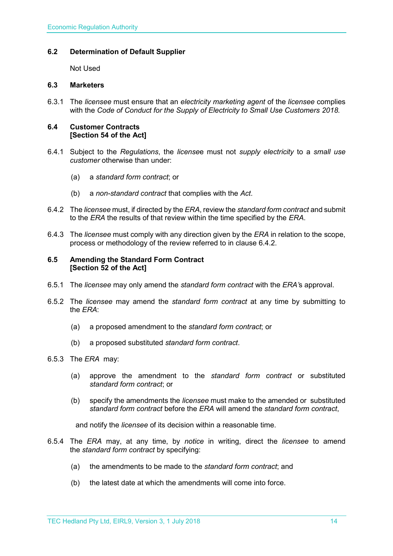#### <span id="page-13-0"></span>**6.2 Determination of Default Supplier**

Not Used

### <span id="page-13-1"></span>**6.3 Marketers**

6.3.1 The *licensee* must ensure that an *electricity marketing agent* of the *licensee* complies with the *Code of Conduct for the Supply of Electricity to Small Use Customers 2018.*

#### <span id="page-13-2"></span>**6.4 Customer Contracts [Section 54 of the Act]**

- 6.4.1 Subject to the *Regulations*, the *license*e must not *supply electricity* to a *small use customer* otherwise than under:
	- (a) a *standard form contract*; or
	- (b) a *non-standard contract* that complies with the *Act*.
- 6.4.2 The *licensee* must, if directed by the *ERA*, review the *standard form contract* and submit to the *ERA* the results of that review within the time specified by the *ERA*.
- 6.4.3 The *licensee* must comply with any direction given by the *ERA* in relation to the scope, process or methodology of the review referred to in clause 6.4.2.

#### <span id="page-13-3"></span>**6.5 Amending the Standard Form Contract [Section 52 of the Act]**

- 6.5.1 The *licensee* may only amend the *standard form contract* with the *ERA'*s approval.
- 6.5.2 The *licensee* may amend the *standard form contract* at any time by submitting to the *ERA*:
	- (a) a proposed amendment to the *standard form contract*; or
	- (b) a proposed substituted *standard form contract*.
- 6.5.3 The *ERA* may:
	- (a) approve the amendment to the *standard form contract* or substituted *standard form contract*; or
	- (b) specify the amendments the *licensee* must make to the amended or substituted *standard form contract* before the *ERA* will amend the *standard form contract*,

and notify the *licensee* of its decision within a reasonable time.

- 6.5.4 The *ERA* may, at any time, by *notice* in writing, direct the *licensee* to amend the *standard form contract* by specifying:
	- (a) the amendments to be made to the *standard form contract*; and
	- (b) the latest date at which the amendments will come into force.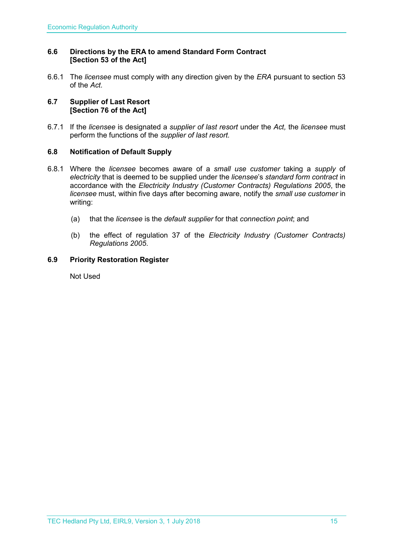#### <span id="page-14-0"></span>**6.6 Directions by the ERA to amend Standard Form Contract [Section 53 of the Act]**

6.6.1 The *licensee* must comply with any direction given by the *ERA* pursuant to section 53 of the *Act.* 

#### <span id="page-14-1"></span>**6.7 Supplier of Last Resort [Section 76 of the Act]**

6.7.1 If the *licensee* is designated a *supplier of last resort* under the *Act,* the *licensee* must perform the functions of the *supplier of last resort.* 

#### <span id="page-14-2"></span>**6.8 Notification of Default Supply**

- 6.8.1 Where the *licensee* becomes aware of a *small use customer* taking a *supply* of *electricity* that is deemed to be supplied under the *licensee*'s *standard form contract* in accordance with the *[Electricity Industry \(Customer Contracts\) Regulations 2005](http://www.slp.wa.gov.au/legislation/statutes.nsf/main_mrtitle_1345_homepage.html)*, the *licensee* must, within five days after becoming aware, notify the *small use customer* in writing:
	- (a) that the *licensee* is the *default supplier* for that *connection point*; and
	- (b) the effect of regulation 37 of the *[Electricity Industry \(Customer Contracts\)](http://www.slp.wa.gov.au/legislation/statutes.nsf/main_mrtitle_1345_homepage.html)  [Regulations 2005](http://www.slp.wa.gov.au/legislation/statutes.nsf/main_mrtitle_1345_homepage.html)*.

#### <span id="page-14-3"></span>**6.9 Priority Restoration Register**

Not Used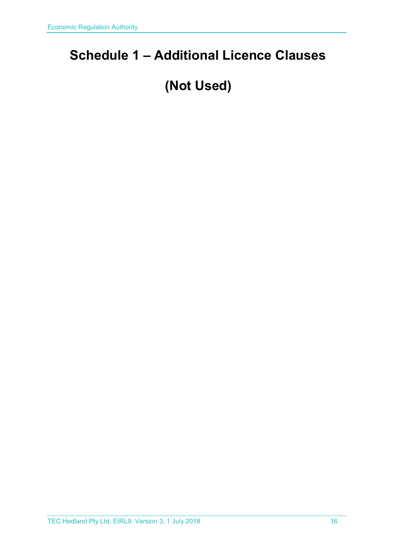## <span id="page-15-0"></span>**Schedule 1 – Additional Licence Clauses**

## **(Not Used)**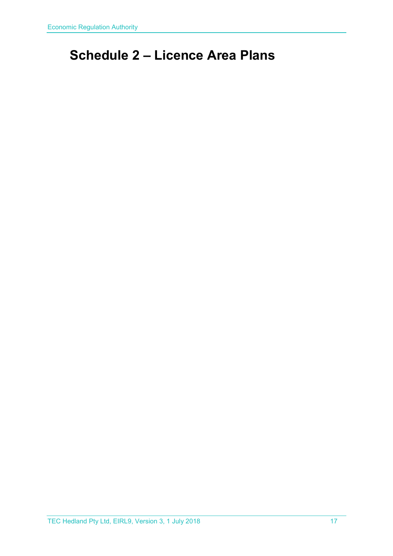## <span id="page-16-0"></span>**Schedule 2 – Licence Area Plans**